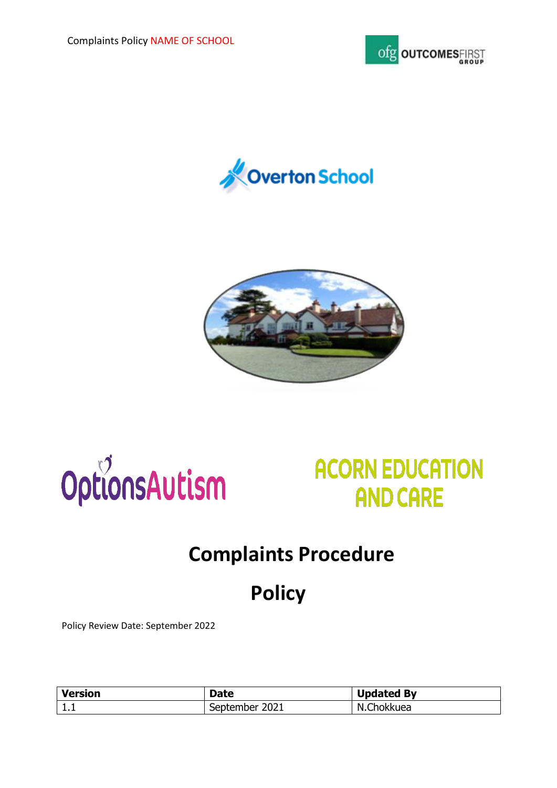









## **Complaints Procedure**

# **Policy**

Policy Review Date: September 2022

| <b>Version</b> | Date           | <b>Updated By</b> |
|----------------|----------------|-------------------|
| ,,,,           | September 2021 | N.Chokkuea        |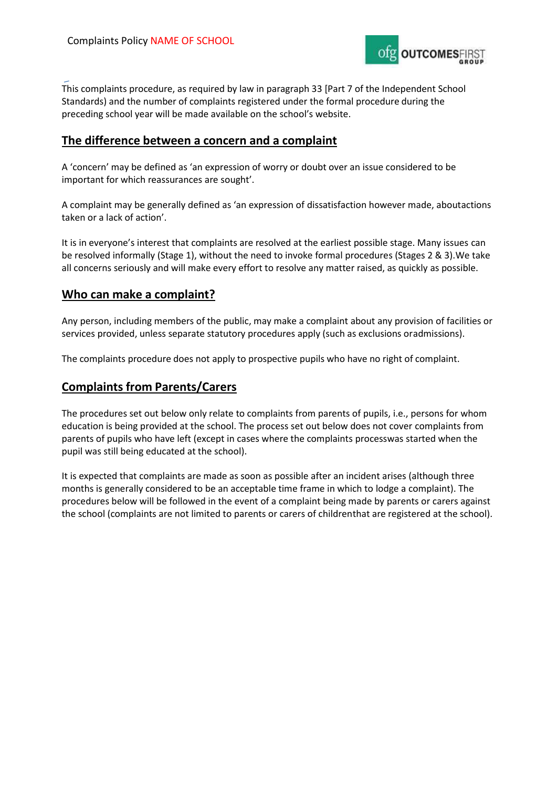

This complaints procedure, as required by law in paragraph 33 [Part 7 of the Independent School Standards) and the number of complaints registered under the formal procedure during the preceding school year will be made available on the school's website.

#### **The difference between a concern and a complaint**

A 'concern' may be defined as 'an expression of worry or doubt over an issue considered to be important for which reassurances are sought'.

A complaint may be generally defined as 'an expression of dissatisfaction however made, aboutactions taken or a lack of action'.

It is in everyone's interest that complaints are resolved at the earliest possible stage. Many issues can be resolved informally (Stage 1), without the need to invoke formal procedures (Stages 2 & 3).We take all concerns seriously and will make every effort to resolve any matter raised, as quickly as possible.

#### **Who can make a complaint?**

Any person, including members of the public, may make a complaint about any provision of facilities or services provided, unless separate statutory procedures apply (such as exclusions oradmissions).

The complaints procedure does not apply to prospective pupils who have no right of complaint.

#### **Complaints from Parents/Carers**

The procedures set out below only relate to complaints from parents of pupils, i.e., persons for whom education is being provided at the school. The process set out below does not cover complaints from parents of pupils who have left (except in cases where the complaints processwas started when the pupil was still being educated at the school).

It is expected that complaints are made as soon as possible after an incident arises (although three months is generally considered to be an acceptable time frame in which to lodge a complaint). The procedures below will be followed in the event of a complaint being made by parents or carers against the school (complaints are not limited to parents or carers of childrenthat are registered at the school).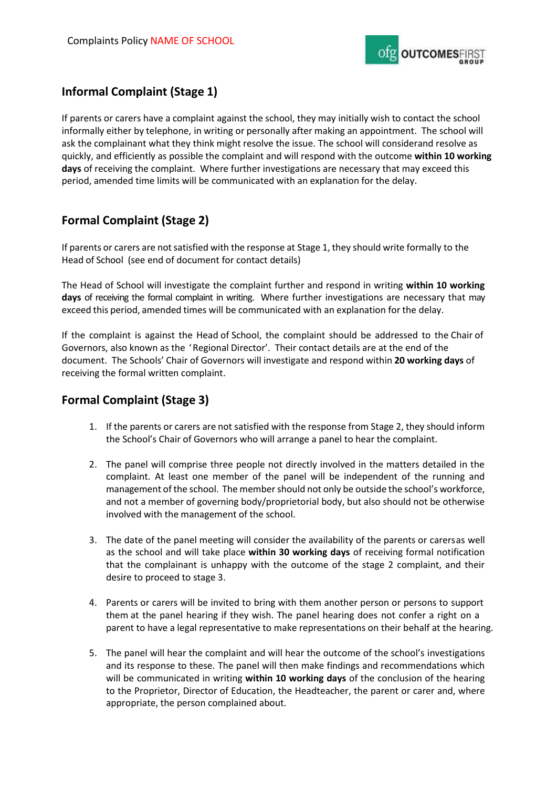

## **Informal Complaint (Stage 1)**

If parents or carers have a complaint against the school, they may initially wish to contact the school informally either by telephone, in writing or personally after making an appointment. The school will ask the complainant what they think might resolve the issue. The school will considerand resolve as quickly, and efficiently as possible the complaint and will respond with the outcome **within 10 working days** of receiving the complaint. Where further investigations are necessary that may exceed this period, amended time limits will be communicated with an explanation for the delay.

## **Formal Complaint (Stage 2)**

If parents or carers are not satisfied with the response at Stage 1, they should write formally to the Head of School (see end of document for contact details)

The Head of School will investigate the complaint further and respond in writing **within 10 working days** of receiving the formal complaint in writing. Where further investigations are necessary that may exceed this period, amended times will be communicated with an explanation for the delay.

If the complaint is against the Head of School, the complaint should be addressed to the Chair of Governors, also known as the 'Regional Director'. Their contact details are at the end of the document. The Schools' Chair of Governors will investigate and respond within **20 working days** of receiving the formal written complaint.

## **Formal Complaint (Stage 3)**

- 1. If the parents or carers are not satisfied with the response from Stage 2, they should inform the School's Chair of Governors who will arrange a panel to hear the complaint.
- 2. The panel will comprise three people not directly involved in the matters detailed in the complaint. At least one member of the panel will be independent of the running and management of the school. The membershould not only be outside the school's workforce, and not a member of governing body/proprietorial body, but also should not be otherwise involved with the management of the school.
- 3. The date of the panel meeting will consider the availability of the parents or carersas well as the school and will take place **within 30 working days** of receiving formal notification that the complainant is unhappy with the outcome of the stage 2 complaint, and their desire to proceed to stage 3.
- 4. Parents or carers will be invited to bring with them another person or persons to support them at the panel hearing if they wish. The panel hearing does not confer a right on a parent to have a legal representative to make representations on their behalf at the hearing.
- 5. The panel will hear the complaint and will hear the outcome of the school's investigations and its response to these. The panel will then make findings and recommendations which will be communicated in writing **within 10 working days** of the conclusion of the hearing to the Proprietor, Director of Education, the Headteacher, the parent or carer and, where appropriate, the person complained about.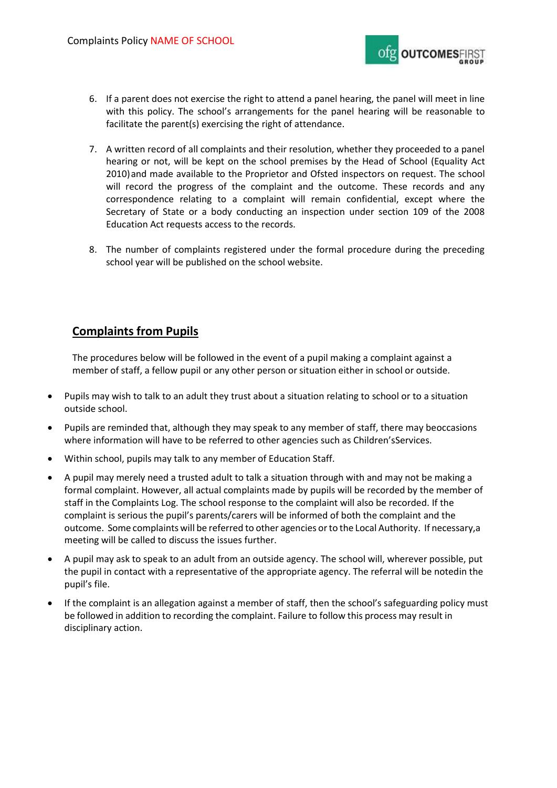

- 6. If a parent does not exercise the right to attend a panel hearing, the panel will meet in line with this policy. The school's arrangements for the panel hearing will be reasonable to facilitate the parent(s) exercising the right of attendance.
- 7. A written record of all complaints and their resolution, whether they proceeded to a panel hearing or not, will be kept on the school premises by the Head of School (Equality Act 2010)and made available to the Proprietor and Ofsted inspectors on request. The school will record the progress of the complaint and the outcome. These records and any correspondence relating to a complaint will remain confidential, except where the Secretary of State or a body conducting an inspection under section 109 of the 2008 Education Act requests access to the records.
- 8. The number of complaints registered under the formal procedure during the preceding school year will be published on the school website.

### **Complaints from Pupils**

The procedures below will be followed in the event of a pupil making a complaint against a member of staff, a fellow pupil or any other person or situation either in school or outside.

- Pupils may wish to talk to an adult they trust about a situation relating to school or to a situation outside school.
- Pupils are reminded that, although they may speak to any member of staff, there may beoccasions where information will have to be referred to other agencies such as Children'sServices.
- Within school, pupils may talk to any member of Education Staff.
- A pupil may merely need a trusted adult to talk a situation through with and may not be making a formal complaint. However, all actual complaints made by pupils will be recorded by the member of staff in the Complaints Log. The school response to the complaint will also be recorded. If the complaint is serious the pupil's parents/carers will be informed of both the complaint and the outcome. Some complaints will be referred to other agencies orto the Local Authority. If necessary,a meeting will be called to discuss the issues further.
- A pupil may ask to speak to an adult from an outside agency. The school will, wherever possible, put the pupil in contact with a representative of the appropriate agency. The referral will be notedin the pupil's file.
- If the complaint is an allegation against a member of staff, then the school's safeguarding policy must be followed in addition to recording the complaint. Failure to follow this process may result in disciplinary action.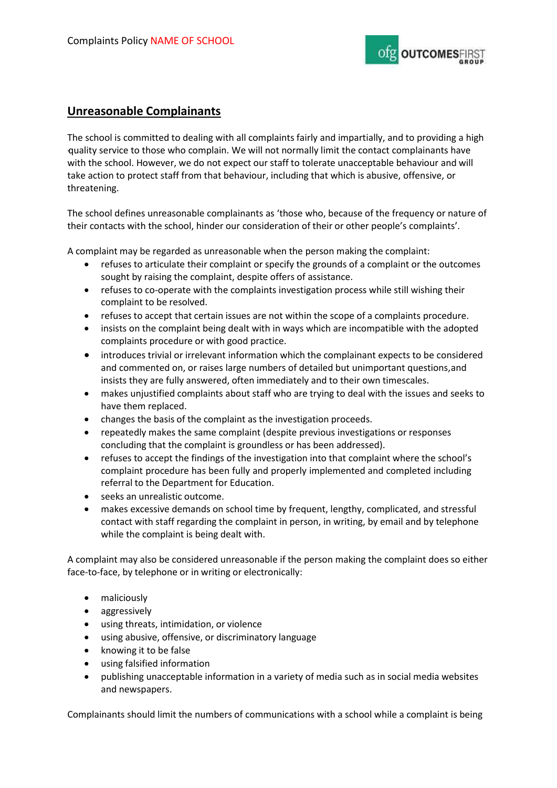

#### **Unreasonable Complainants**

The school is committed to dealing with all complaints fairly and impartially, and to providing a high -quality service to those who complain. We will not normally limit the contact complainants have with the school. However, we do not expect our staff to tolerate unacceptable behaviour and will take action to protect staff from that behaviour, including that which is abusive, offensive, or threatening.

The school defines unreasonable complainants as 'those who, because of the frequency or nature of their contacts with the school, hinder our consideration of their or other people's complaints'.

A complaint may be regarded as unreasonable when the person making the complaint:

- refuses to articulate their complaint or specify the grounds of a complaint or the outcomes sought by raising the complaint, despite offers of assistance.
- refuses to co-operate with the complaints investigation process while still wishing their complaint to be resolved.
- refuses to accept that certain issues are not within the scope of a complaints procedure.
- insists on the complaint being dealt with in ways which are incompatible with the adopted complaints procedure or with good practice.
- introduces trivial or irrelevant information which the complainant expects to be considered and commented on, or raises large numbers of detailed but unimportant questions,and insists they are fully answered, often immediately and to their own timescales.
- makes unjustified complaints about staff who are trying to deal with the issues and seeks to have them replaced.
- changes the basis of the complaint as the investigation proceeds.
- repeatedly makes the same complaint (despite previous investigations or responses concluding that the complaint is groundless or has been addressed).
- refuses to accept the findings of the investigation into that complaint where the school's complaint procedure has been fully and properly implemented and completed including referral to the Department for Education.
- seeks an unrealistic outcome.
- makes excessive demands on school time by frequent, lengthy, complicated, and stressful contact with staff regarding the complaint in person, in writing, by email and by telephone while the complaint is being dealt with.

A complaint may also be considered unreasonable if the person making the complaint does so either face-to-face, by telephone or in writing or electronically:

- maliciously
- aggressively
- using threats, intimidation, or violence
- using abusive, offensive, or discriminatory language
- knowing it to be false
- using falsified information
- publishing unacceptable information in a variety of media such as in social media websites and newspapers.

Complainants should limit the numbers of communications with a school while a complaint is being